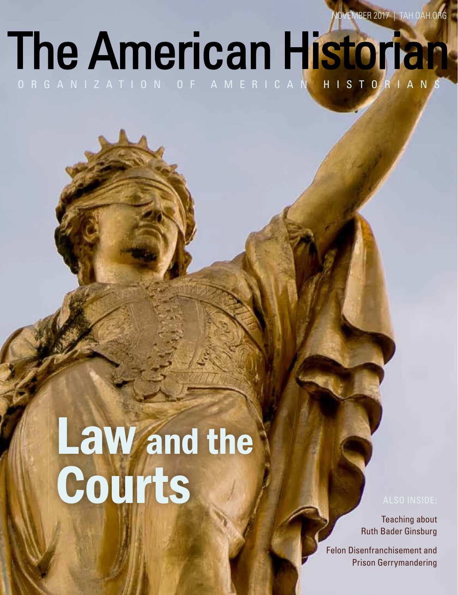NOVEMBER 2017 | TAH.OAH.ORG

### The American Historian ORGANIZATION OF AMERICAN HISTORIANS

# Law and the Courts

Teaching about Ruth Bader Ginsburg

Felon Disenfranchisement and Prison Gerrymandering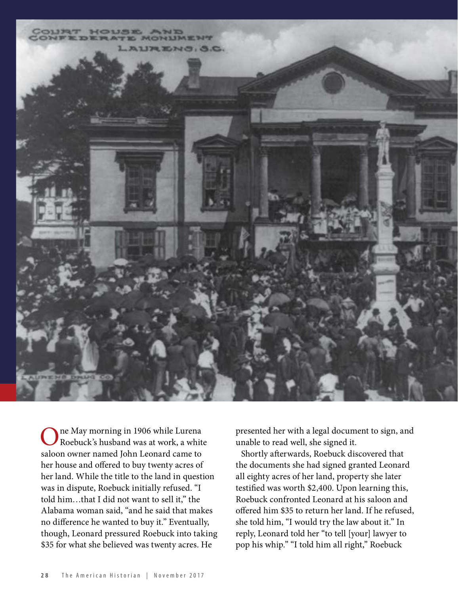

ne May morning in 1906 while Lurena Roebuck's husband was at work, a white saloon owner named John Leonard came to her house and offered to buy twenty acres of her land. While the title to the land in question was in dispute, Roebuck initially refused. "I told him…that I did not want to sell it," the Alabama woman said, "and he said that makes no difference he wanted to buy it." Eventually, though, Leonard pressured Roebuck into taking \$35 for what she believed was twenty acres. He

presented her with a legal document to sign, and unable to read well, she signed it.

Shortly afterwards, Roebuck discovered that the documents she had signed granted Leonard all eighty acres of her land, property she later testified was worth \$2,400. Upon learning this, Roebuck confronted Leonard at his saloon and offered him \$35 to return her land. If he refused, she told him, "I would try the law about it." In reply, Leonard told her "to tell [your] lawyer to pop his whip." "I told him all right," Roebuck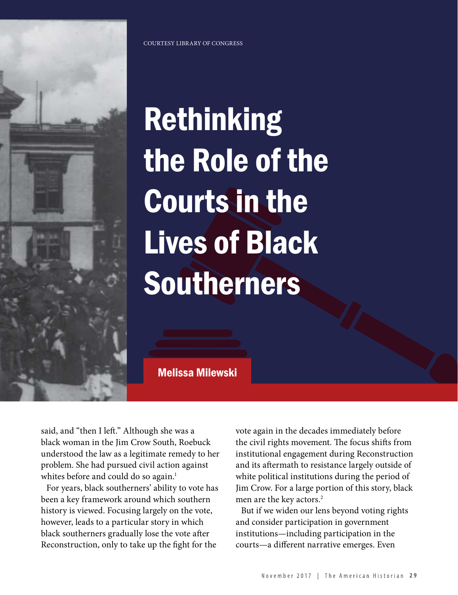

COURTESY LIBRARY OF CONGRESS

## Rethinking the Role of the Courts in the Lives of Black Southerners

Melissa Milewski

said, and "then I left." Although she was a black woman in the Jim Crow South, Roebuck understood the law as a legitimate remedy to her problem. She had pursued civil action against whites before and could do so again.<sup>1</sup>

For years, black southerners' ability to vote has been a key framework around which southern history is viewed. Focusing largely on the vote, however, leads to a particular story in which black southerners gradually lose the vote after Reconstruction, only to take up the fight for the

vote again in the decades immediately before the civil rights movement. The focus shifts from institutional engagement during Reconstruction and its aftermath to resistance largely outside of white political institutions during the period of Jim Crow. For a large portion of this story, black men are the key actors.<sup>2</sup>

But if we widen our lens beyond voting rights and consider participation in government institutions—including participation in the courts—a different narrative emerges. Even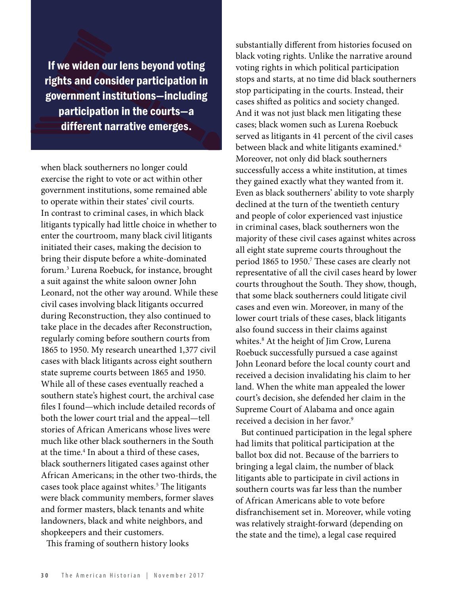If we widen our lens beyond voting rights and consider participation in government institutions—including institutions—including participation in the courts—a courts—a different narrative emerges.

when black southerners no longer could exercise the right to vote or act within other government institutions, some remained able to operate within their states' civil courts. In contrast to criminal cases, in which black litigants typically had little choice in whether to enter the courtroom, many black civil litigants initiated their cases, making the decision to bring their dispute before a white-dominated forum.3 Lurena Roebuck, for instance, brought a suit against the white saloon owner John Leonard, not the other way around. While these civil cases involving black litigants occurred during Reconstruction, they also continued to take place in the decades after Reconstruction, regularly coming before southern courts from 1865 to 1950. My research unearthed 1,377 civil cases with black litigants across eight southern state supreme courts between 1865 and 1950. While all of these cases eventually reached a southern state's highest court, the archival case files I found—which include detailed records of both the lower court trial and the appeal—tell stories of African Americans whose lives were much like other black southerners in the South at the time.<sup>4</sup> In about a third of these cases, black southerners litigated cases against other African Americans; in the other two-thirds, the cases took place against whites.<sup>5</sup> The litigants were black community members, former slaves and former masters, black tenants and white landowners, black and white neighbors, and shopkeepers and their customers.

This framing of southern history looks

substantially different from histories focused on black voting rights. Unlike the narrative around voting rights in which political participation stops and starts, at no time did black southerners stop participating in the courts. Instead, their cases shifted as politics and society changed. And it was not just black men litigating these cases; black women such as Lurena Roebuck served as litigants in 41 percent of the civil cases between black and white litigants examined.<sup>6</sup> Moreover, not only did black southerners successfully access a white institution, at times they gained exactly what they wanted from it. Even as black southerners' ability to vote sharply declined at the turn of the twentieth century and people of color experienced vast injustice in criminal cases, black southerners won the majority of these civil cases against whites across all eight state supreme courts throughout the period 1865 to 1950.<sup>7</sup> These cases are clearly not representative of all the civil cases heard by lower courts throughout the South. They show, though, that some black southerners could litigate civil cases and even win. Moreover, in many of the lower court trials of these cases, black litigants also found success in their claims against whites.8 At the height of Jim Crow, Lurena Roebuck successfully pursued a case against John Leonard before the local county court and received a decision invalidating his claim to her land. When the white man appealed the lower court's decision, she defended her claim in the Supreme Court of Alabama and once again received a decision in her favor.<sup>9</sup>

But continued participation in the legal sphere had limits that political participation at the ballot box did not. Because of the barriers to bringing a legal claim, the number of black litigants able to participate in civil actions in southern courts was far less than the number of African Americans able to vote before disfranchisement set in. Moreover, while voting was relatively straight-forward (depending on the state and the time), a legal case required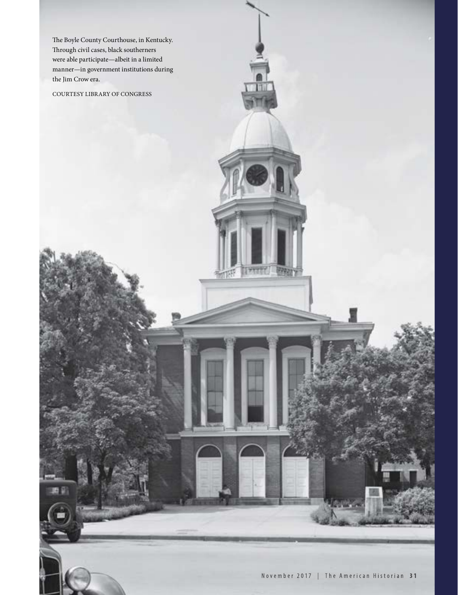The Boyle County Courthouse, in Kentucky. Through civil cases, black southerners were able participate—albeit in a limited manner—in government institutions during the Jim Crow era.

COURTESY LIBRARY OF CONGRESS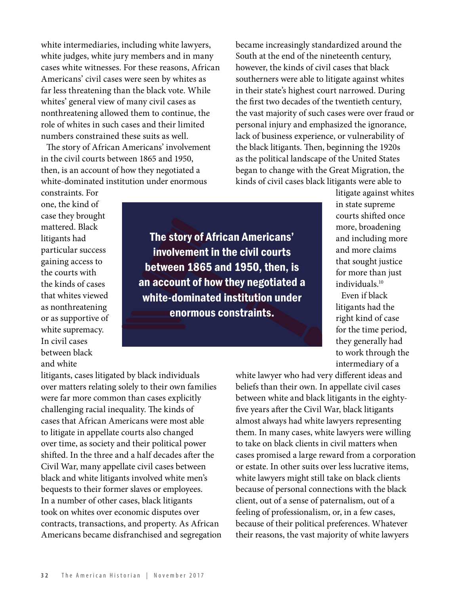white intermediaries, including white lawyers, white judges, white jury members and in many cases white witnesses. For these reasons, African Americans' civil cases were seen by whites as far less threatening than the black vote. While whites' general view of many civil cases as nonthreatening allowed them to continue, the role of whites in such cases and their limited numbers constrained these suits as well.

The story of African Americans' involvement in the civil courts between 1865 and 1950, then, is an account of how they negotiated a white-dominated institution under enormous

became increasingly standardized around the South at the end of the nineteenth century, however, the kinds of civil cases that black southerners were able to litigate against whites in their state's highest court narrowed. During the first two decades of the twentieth century, the vast majority of such cases were over fraud or personal injury and emphasized the ignorance, lack of business experience, or vulnerability of the black litigants. Then, beginning the 1920s as the political landscape of the United States began to change with the Great Migration, the kinds of civil cases black litigants were able to

constraints. For one, the kind of case they brought mattered. Black litigants had particular success gaining access to the courts with the kinds of cases that whites viewed as nonthreatening or as supportive of white supremacy. In civil cases between black and white

The story of African Americans' Americans' involvement in the civil courts between 1865 and 1950, then, is an account of how they negotiated a a white-dominated institution under enormous constraints.

litigate against whites in state supreme courts shifted once more, broadening and including more and more claims that sought justice for more than just individuals.10

Even if black litigants had the right kind of case for the time period, they generally had to work through the intermediary of a

litigants, cases litigated by black individuals over matters relating solely to their own families were far more common than cases explicitly challenging racial inequality. The kinds of cases that African Americans were most able to litigate in appellate courts also changed over time, as society and their political power shifted. In the three and a half decades after the Civil War, many appellate civil cases between black and white litigants involved white men's bequests to their former slaves or employees. In a number of other cases, black litigants took on whites over economic disputes over contracts, transactions, and property. As African Americans became disfranchised and segregation white lawyer who had very different ideas and beliefs than their own. In appellate civil cases between white and black litigants in the eighty five years after the Civil War, black litigants almost always had white lawyers representing them. In many cases, white lawyers were willing to take on black clients in civil matters when cases promised a large reward from a corporation or estate. In other suits over less lucrative items, white lawyers might still take on black clients because of personal connections with the black client, out of a sense of paternalism, out of a feeling of professionalism, or, in a few cases, because of their political preferences. Whatever their reasons, the vast majority of white lawyers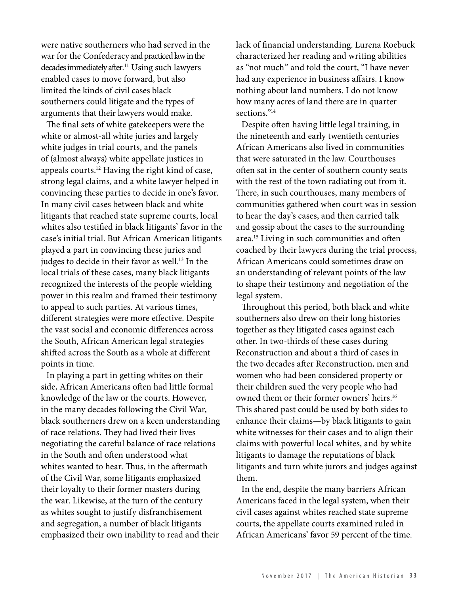were native southerners who had served in the war for the Confederacyand practiced law in the decades immediately after. <sup>11</sup> Using such lawyers enabled cases to move forward, but also limited the kinds of civil cases black southerners could litigate and the types of arguments that their lawyers would make.

The final sets of white gatekeepers were the white or almost-all white juries and largely white judges in trial courts, and the panels of (almost always) white appellate justices in appeals courts.12 Having the right kind of case, strong legal claims, and a white lawyer helped in convincing these parties to decide in one's favor. In many civil cases between black and white litigants that reached state supreme courts, local whites also testified in black litigants' favor in the case's initial trial. But African American litigants played a part in convincing these juries and judges to decide in their favor as well.<sup>13</sup> In the local trials of these cases, many black litigants recognized the interests of the people wielding power in this realm and framed their testimony to appeal to such parties. At various times, different strategies were more effective. Despite the vast social and economic differences across the South, African American legal strategies shifted across the South as a whole at different points in time.

In playing a part in getting whites on their side, African Americans often had little formal knowledge of the law or the courts. However, in the many decades following the Civil War, black southerners drew on a keen understanding of race relations. They had lived their lives negotiating the careful balance of race relations in the South and often understood what whites wanted to hear. Thus, in the aftermath of the Civil War, some litigants emphasized their loyalty to their former masters during the war. Likewise, at the turn of the century as whites sought to justify disfranchisement and segregation, a number of black litigants emphasized their own inability to read and their

lack of financial understanding. Lurena Roebuck characterized her reading and writing abilities as "not much" and told the court, "I have never had any experience in business affairs. I know nothing about land numbers. I do not know how many acres of land there are in quarter sections."<sup>14</sup>

Despite often having little legal training, in the nineteenth and early twentieth centuries African Americans also lived in communities that were saturated in the law. Courthouses often sat in the center of southern county seats with the rest of the town radiating out from it. There, in such courthouses, many members of communities gathered when court was in session to hear the day's cases, and then carried talk and gossip about the cases to the surrounding area.<sup>15</sup> Living in such communities and often coached by their lawyers during the trial process, African Americans could sometimes draw on an understanding of relevant points of the law to shape their testimony and negotiation of the legal system.

Throughout this period, both black and white southerners also drew on their long histories together as they litigated cases against each other. In two-thirds of these cases during Reconstruction and about a third of cases in the two decades after Reconstruction, men and women who had been considered property or their children sued the very people who had owned them or their former owners' heirs.16 This shared past could be used by both sides to enhance their claims—by black litigants to gain white witnesses for their cases and to align their claims with powerful local whites, and by white litigants to damage the reputations of black litigants and turn white jurors and judges against them.

In the end, despite the many barriers African Americans faced in the legal system, when their civil cases against whites reached state supreme courts, the appellate courts examined ruled in African Americans' favor 59 percent of the time.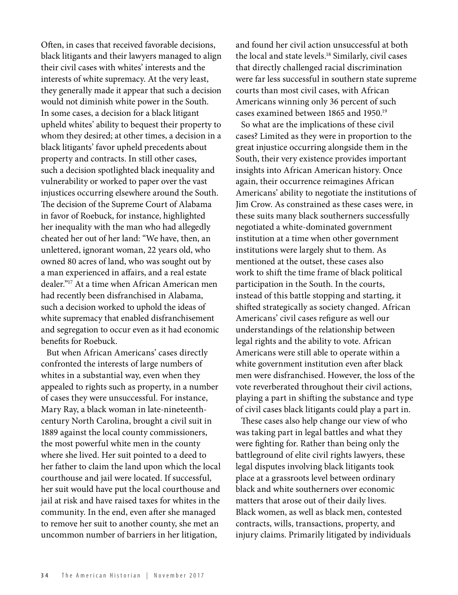Often, in cases that received favorable decisions, black litigants and their lawyers managed to align their civil cases with whites' interests and the interests of white supremacy. At the very least, they generally made it appear that such a decision would not diminish white power in the South. In some cases, a decision for a black litigant upheld whites' ability to bequest their property to whom they desired; at other times, a decision in a black litigants' favor upheld precedents about property and contracts. In still other cases, such a decision spotlighted black inequality and vulnerability or worked to paper over the vast injustices occurring elsewhere around the South. The decision of the Supreme Court of Alabama in favor of Roebuck, for instance, highlighted her inequality with the man who had allegedly cheated her out of her land: "We have, then, an unlettered, ignorant woman, 22 years old, who owned 80 acres of land, who was sought out by a man experienced in affairs, and a real estate dealer."17 At a time when African American men had recently been disfranchised in Alabama, such a decision worked to uphold the ideas of white supremacy that enabled disfranchisement and segregation to occur even as it had economic benefits for Roebuck.

But when African Americans' cases directly confronted the interests of large numbers of whites in a substantial way, even when they appealed to rights such as property, in a number of cases they were unsuccessful. For instance, Mary Ray, a black woman in late-nineteenthcentury North Carolina, brought a civil suit in 1889 against the local county commissioners, the most powerful white men in the county where she lived. Her suit pointed to a deed to her father to claim the land upon which the local courthouse and jail were located. If successful, her suit would have put the local courthouse and jail at risk and have raised taxes for whites in the community. In the end, even after she managed to remove her suit to another county, she met an uncommon number of barriers in her litigation,

and found her civil action unsuccessful at both the local and state levels.18 Similarly, civil cases that directly challenged racial discrimination were far less successful in southern state supreme courts than most civil cases, with African Americans winning only 36 percent of such cases examined between 1865 and 1950.19

So what are the implications of these civil cases? Limited as they were in proportion to the great injustice occurring alongside them in the South, their very existence provides important insights into African American history. Once again, their occurrence reimagines African Americans' ability to negotiate the institutions of Jim Crow. As constrained as these cases were, in these suits many black southerners successfully negotiated a white-dominated government institution at a time when other government institutions were largely shut to them. As mentioned at the outset, these cases also work to shift the time frame of black political participation in the South. In the courts, instead of this battle stopping and starting, it shifted strategically as society changed. African Americans' civil cases refigure as well our understandings of the relationship between legal rights and the ability to vote. African Americans were still able to operate within a white government institution even after black men were disfranchised. However, the loss of the vote reverberated throughout their civil actions, playing a part in shifting the substance and type of civil cases black litigants could play a part in.

These cases also help change our view of who was taking part in legal battles and what they were fighting for. Rather than being only the battleground of elite civil rights lawyers, these legal disputes involving black litigants took place at a grassroots level between ordinary black and white southerners over economic matters that arose out of their daily lives. Black women, as well as black men, contested contracts, wills, transactions, property, and injury claims. Primarily litigated by individuals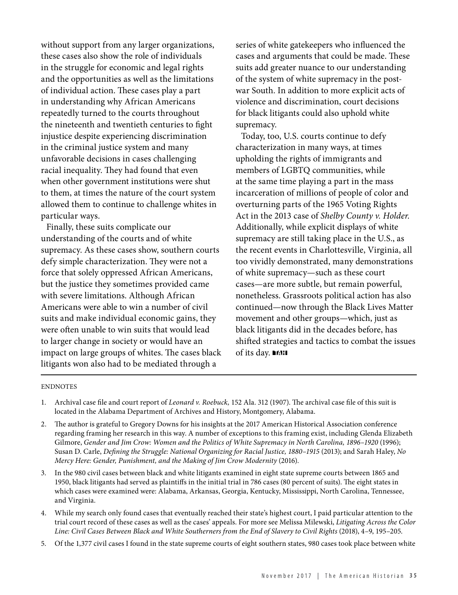without support from any larger organizations, these cases also show the role of individuals in the struggle for economic and legal rights and the opportunities as well as the limitations of individual action. These cases play a part in understanding why African Americans repeatedly turned to the courts throughout the nineteenth and twentieth centuries to fight injustice despite experiencing discrimination in the criminal justice system and many unfavorable decisions in cases challenging racial inequality. They had found that even when other government institutions were shut to them, at times the nature of the court system allowed them to continue to challenge whites in particular ways.

Finally, these suits complicate our understanding of the courts and of white supremacy. As these cases show, southern courts defy simple characterization. They were not a force that solely oppressed African Americans, but the justice they sometimes provided came with severe limitations. Although African Americans were able to win a number of civil suits and make individual economic gains, they were often unable to win suits that would lead to larger change in society or would have an impact on large groups of whites. The cases black litigants won also had to be mediated through a

series of white gate keepers who influenced the cases and arguments that could be made. These suits add greater nuance to our understanding of the system of white supremacy in the postwar South. In addition to more explicit acts of violence and discrimination, court decisions for black litigants could also uphold white supremacy.

Today, too, U.S. courts continue to defy characterization in many ways, at times upholding the rights of immigrants and members of LGBTQ communities, while at the same time playing a part in the mass incarceration of millions of people of color and overturning parts of the 1965 Voting Rights Act in the 2013 case of *Shelby County v. Holder*. Additionally, while explicit displays of white supremacy are still taking place in the U.S., as the recent events in Charlottesville, Virginia, all too vividly demonstrated, many demonstrations of white supremacy—such as these court cases—are more subtle, but remain powerful, nonetheless. Grassroots political action has also continued—now through the Black Lives Matter movement and other groups—which, just as black litigants did in the decades before, has shifted strategies and tactics to combat the issues of its day. **■IAH** 

### ENDNOTES

- 1. Archival case file and court report of *Leonard v. Roebuck*, 152 Ala. 312 (1907). The archival case file of this suit is located in the Alabama Department of Archives and History, Montgomery, Alabama.
- 2. The author is grateful to Gregory Downs for his insights at the 2017 American Historical Association conference regarding framing her research in this way. A number of exceptions to this framing exist, including Glenda Elizabeth Gilmore, *Gender and Jim Crow: Women and the Politics of White Supremacy in North Carolina, 1896–1920* (1996); Susan D. Carle, *Defining the Struggle: National Organizing for Racial Justice, 1880-1915* (2013); and Sarah Haley, *No Mercy Here: Gender, Punishment, and the Making of Jim Crow Modernity* (2016).
- 3. In the 980 civil cases between black and white litigants examined in eight state supreme courts between 1865 and 1950, black litigants had served as plaintiffs in the initial trial in 786 cases (80 percent of suits). The eight states in which cases were examined were: Alabama, Arkansas, Georgia, Kentucky, Mississippi, North Carolina, Tennessee, and Virginia.
- 4. While my search only found cases that eventually reached their state's highest court, I paid particular attention to the trial court record of these cases as well as the cases' appeals. For more see Melissa Milewski, *Litigating Across the Color Line: Civil Cases Between Black and White Southerners from the End of Slavery to Civil Rights* (2018), 4–9, 195–205.
- 5. Of the 1,377 civil cases I found in the state supreme courts of eight southern states, 980 cases took place between white